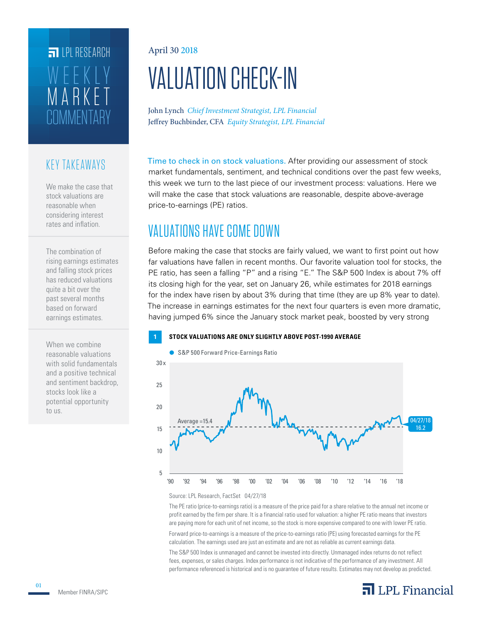## **COMMENTARY** MARKET WEEKLY **FILPI RESEARCH**

## KEY TAKEAWAYS

We make the case that stock valuations are reasonable when considering interest rates and inflation.

The combination of rising earnings estimates and falling stock prices has reduced valuations quite a bit over the past several months based on forward earnings estimates.

When we combine reasonable valuations with solid fundamentals and a positive technical and sentiment backdrop, stocks look like a potential opportunity to us.

#### April 30 2018

# VALUATION CHECK-IN

John Lynch *Chief Investment Strategist, LPL Financial* Jeffrey Buchbinder, CFA *Equity Strategist, LPL Financial*

Time to check in on stock valuations. After providing our assessment of stock market fundamentals, sentiment, and technical conditions over the past few weeks, this week we turn to the last piece of our investment process: valuations. Here we will make the case that stock valuations are reasonable, despite above-average price-to-earnings (PE) ratios.

## VALUATIONS HAVE COME DOWN

Before making the case that stocks are fairly valued, we want to first point out how far valuations have fallen in recent months. Our favorite valuation tool for stocks, the PE ratio, has seen a falling "P" and a rising "E." The S&P 500 Index is about 7% off its closing high for the year, set on January 26, while estimates for 2018 earnings for the index have risen by about 3% during that time (they are up 8% year to date). The increase in earnings estimates for the next four quarters is even more dramatic, having jumped 6% since the January stock market peak, boosted by very strong

#### **1 STOCK VALUATIONS ARE ONLY SLIGHTLY ABOVE POST-1990 AVERAGE**



Source: LPL Research, FactSet 04/27/18

The PE ratio (price-to-earnings ratio) is a measure of the price paid for a share relative to the annual net income or profit earned by the firm per share. It is a financial ratio used for valuation: a higher PE ratio means that investors are paying more for each unit of net income, so the stock is more expensive compared to one with lower PE ratio.

Forward price-to-earnings is a measure of the price-to-earnings ratio (PE) using forecasted earnings for the PE calculation. The earnings used are just an estimate and are not as reliable as current earnings data.

The S&P 500 Index is unmanaged and cannot be invested into directly. Unmanaged index returns do not reflect fees, expenses, or sales charges. Index performance is not indicative of the performance of any investment. All performance referenced is historical and is no guarantee of future results. Estimates may not develop as predicted.

## $\overline{\mathbf{a}}$  LPL Financial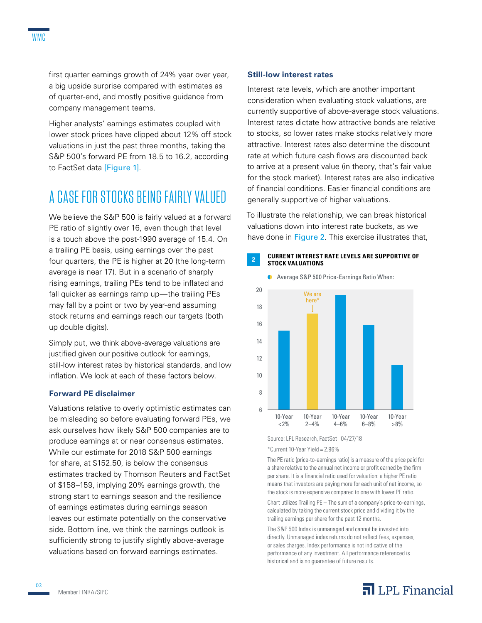first quarter earnings growth of 24% year over year, a big upside surprise compared with estimates as of quarter-end, and mostly positive guidance from company management teams.

Higher analysts' earnings estimates coupled with lower stock prices have clipped about 12% off stock valuations in just the past three months, taking the S&P 500's forward PE from 18.5 to 16.2, according to FactSet data [Figure 1].

## A CASE FOR STOCKS BEING FAIRLY VALUED

We believe the S&P 500 is fairly valued at a forward PE ratio of slightly over 16, even though that level is a touch above the post-1990 average of 15.4. On a trailing PE basis, using earnings over the past four quarters, the PE is higher at 20 (the long-term average is near 17). But in a scenario of sharply rising earnings, trailing PEs tend to be inflated and fall quicker as earnings ramp up—the trailing PEs may fall by a point or two by year-end assuming stock returns and earnings reach our targets (both up double digits).

Simply put, we think above-average valuations are justified given our positive outlook for earnings, still-low interest rates by historical standards, and low inflation. We look at each of these factors below.

#### **Forward PE disclaimer**

Valuations relative to overly optimistic estimates can be misleading so before evaluating forward PEs, we ask ourselves how likely S&P 500 companies are to produce earnings at or near consensus estimates. While our estimate for 2018 S&P 500 earnings for share, at \$152.50, is below the consensus estimates tracked by Thomson Reuters and FactSet of \$158–159, implying 20% earnings growth, the strong start to earnings season and the resilience of earnings estimates during earnings season leaves our estimate potentially on the conservative side. Bottom line, we think the earnings outlook is sufficiently strong to justify slightly above-average valuations based on forward earnings estimates.

#### **Still-low interest rates**

Interest rate levels, which are another important consideration when evaluating stock valuations, are currently supportive of above-average stock valuations. Interest rates dictate how attractive bonds are relative to stocks, so lower rates make stocks relatively more attractive. Interest rates also determine the discount rate at which future cash flows are discounted back to arrive at a present value (in theory, that's fair value for the stock market). Interest rates are also indicative of financial conditions. Easier financial conditions are generally supportive of higher valuations.

To illustrate the relationship, we can break historical valuations down into interest rate buckets, as we have done in Figure 2. This exercise illustrates that,

#### **<sup>2</sup> CURRENT INTEREST RATE LEVELS ARE SUPPORTIVE OF STOCK VALUATIONS**



Source: LPL Research, FactSet 04/27/18

\*Current 10-Year Yield = 2.96%

The PE ratio (price-to-earnings ratio) is a measure of the price paid for a share relative to the annual net income or profit earned by the firm per share. It is a financial ratio used for valuation: a higher PE ratio means that investors are paying more for each unit of net income, so the stock is more expensive compared to one with lower PE ratio.

Chart utilizes Trailing PE – The sum of a company's price-to-earnings, calculated by taking the current stock price and dividing it by the trailing earnings per share for the past 12 months.

The S&P 500 Index is unmanaged and cannot be invested into directly. Unmanaged index returns do not reflect fees, expenses, or sales charges. Index performance is not indicative of the performance of any investment. All performance referenced is historical and is no guarantee of future results.

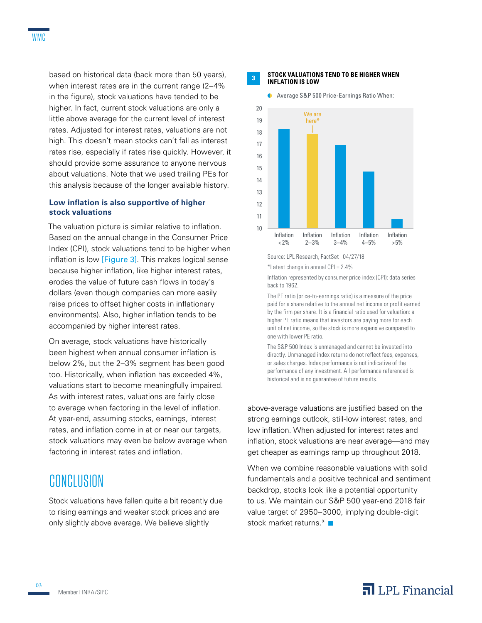based on historical data (back more than 50 years), when interest rates are in the current range (2–4% in the figure), stock valuations have tended to be higher. In fact, current stock valuations are only a little above average for the current level of interest rates. Adjusted for interest rates, valuations are not high. This doesn't mean stocks can't fall as interest rates rise, especially if rates rise quickly. However, it should provide some assurance to anyone nervous about valuations. Note that we used trailing PEs for this analysis because of the longer available history.

#### **Low inflation is also supportive of higher stock valuations**

The valuation picture is similar relative to inflation. Based on the annual change in the Consumer Price Index (CPI), stock valuations tend to be higher when inflation is low [Figure 3]. This makes logical sense because higher inflation, like higher interest rates, erodes the value of future cash flows in today's dollars (even though companies can more easily raise prices to offset higher costs in inflationary environments). Also, higher inflation tends to be accompanied by higher interest rates.

On average, stock valuations have historically been highest when annual consumer inflation is below 2%, but the 2–3% segment has been good too. Historically, when inflation has exceeded 4%, valuations start to become meaningfully impaired. As with interest rates, valuations are fairly close to average when factoring in the level of inflation. At year-end, assuming stocks, earnings, interest rates, and inflation come in at or near our targets, stock valuations may even be below average when factoring in interest rates and inflation.

## CONCLUSION

Stock valuations have fallen quite a bit recently due to rising earnings and weaker stock prices and are only slightly above average. We believe slightly

#### **<sup>3</sup> STOCK VALUATIONS TEND TO BE HIGHER WHEN INFLATION IS LOW**



Average S&P 500 Price-Earnings Ratio When:

Inflation represented by consumer price index (CPI); data series back to 1962.

The PE ratio (price-to-earnings ratio) is a measure of the price paid for a share relative to the annual net income or profit earned by the firm per share. It is a financial ratio used for valuation: a higher PE ratio means that investors are paying more for each unit of net income, so the stock is more expensive compared to one with lower PE ratio.

The S&P 500 Index is unmanaged and cannot be invested into directly. Unmanaged index returns do not reflect fees, expenses, or sales charges. Index performance is not indicative of the performance of any investment. All performance referenced is historical and is no guarantee of future results.

above-average valuations are justified based on the strong earnings outlook, still-low interest rates, and low inflation. When adjusted for interest rates and inflation, stock valuations are near average—and may get cheaper as earnings ramp up throughout 2018.

When we combine reasonable valuations with solid fundamentals and a positive technical and sentiment backdrop, stocks look like a potential opportunity to us. We maintain our S&P 500 year-end 2018 fair value target of 2950–3000, implying double-digit stock market returns.\*

03

## $\overline{\mathbf{a}}$  LPL Financial

Source: LPL Research, FactSet 04/27/18 \*Latest change in annual CPI = 2.4%